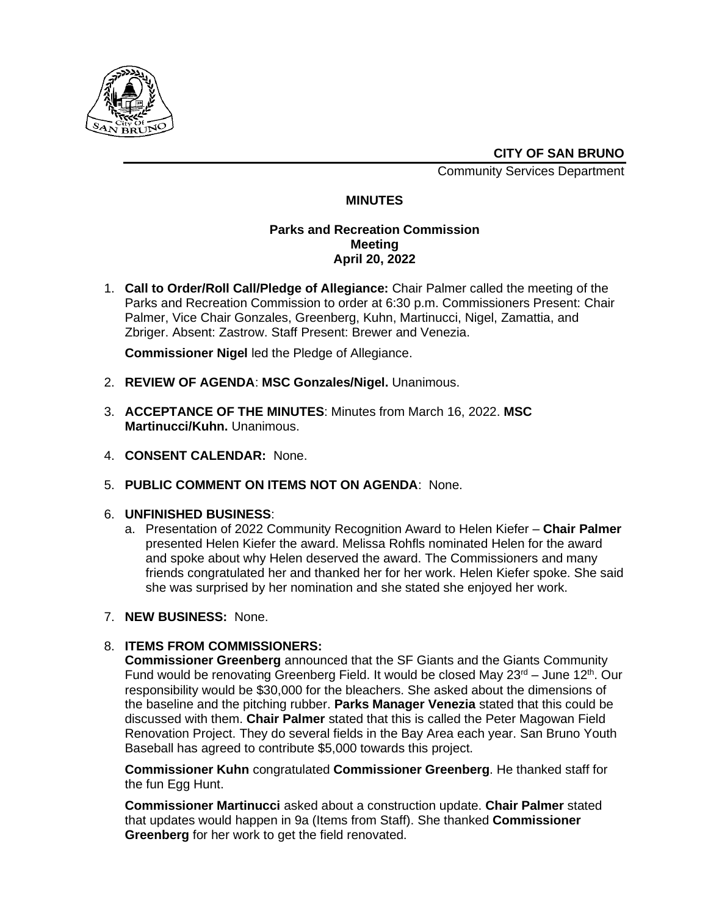

**CITY OF SAN BRUNO**

Community Services Department

# **MINUTES**

### **Parks and Recreation Commission Meeting April 20, 2022**

1. **Call to Order/Roll Call/Pledge of Allegiance:** Chair Palmer called the meeting of the Parks and Recreation Commission to order at 6:30 p.m. Commissioners Present: Chair Palmer, Vice Chair Gonzales, Greenberg, Kuhn, Martinucci, Nigel, Zamattia, and Zbriger. Absent: Zastrow. Staff Present: Brewer and Venezia.

**Commissioner Nigel** led the Pledge of Allegiance.

- 2. **REVIEW OF AGENDA**: **MSC Gonzales/Nigel.** Unanimous.
- 3. **ACCEPTANCE OF THE MINUTES**: Minutes from March 16, 2022. **MSC Martinucci/Kuhn.** Unanimous.
- 4. **CONSENT CALENDAR:** None.
- 5. **PUBLIC COMMENT ON ITEMS NOT ON AGENDA**: None.

#### 6. **UNFINISHED BUSINESS**:

- a. Presentation of 2022 Community Recognition Award to Helen Kiefer **Chair Palmer** presented Helen Kiefer the award. Melissa Rohfls nominated Helen for the award and spoke about why Helen deserved the award. The Commissioners and many friends congratulated her and thanked her for her work. Helen Kiefer spoke. She said she was surprised by her nomination and she stated she enjoyed her work.
- 7. **NEW BUSINESS:** None.

## 8. **ITEMS FROM COMMISSIONERS:**

**Commissioner Greenberg** announced that the SF Giants and the Giants Community Fund would be renovating Greenberg Field. It would be closed May  $23<sup>rd</sup> -$  June 12<sup>th</sup>. Our responsibility would be \$30,000 for the bleachers. She asked about the dimensions of the baseline and the pitching rubber. **Parks Manager Venezia** stated that this could be discussed with them. **Chair Palmer** stated that this is called the Peter Magowan Field Renovation Project. They do several fields in the Bay Area each year. San Bruno Youth Baseball has agreed to contribute \$5,000 towards this project.

**Commissioner Kuhn** congratulated **Commissioner Greenberg**. He thanked staff for the fun Egg Hunt.

**Commissioner Martinucci** asked about a construction update. **Chair Palmer** stated that updates would happen in 9a (Items from Staff). She thanked **Commissioner Greenberg** for her work to get the field renovated.